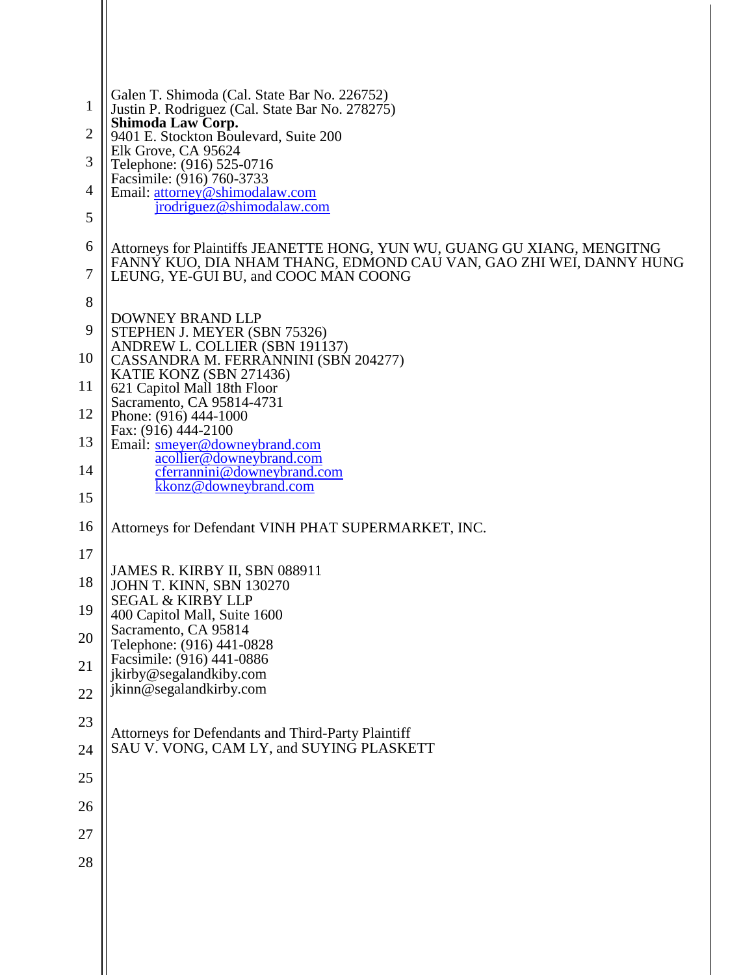| 1              | Galen T. Shimoda (Cal. State Bar No. 226752)<br>Justin P. Rodriguez (Cal. State Bar No. 278275)            |  |  |
|----------------|------------------------------------------------------------------------------------------------------------|--|--|
| $\overline{2}$ | Shimoda Law Corp.<br>9401 E. Stockton Boulevard, Suite 200                                                 |  |  |
| 3              | Elk Grove, CA 95624<br>Telephone: (916) 525-0716                                                           |  |  |
| 4              | Facsimile: (916) 760-3733<br>Email: attorney@shimodalaw.com                                                |  |  |
| 5              | jrodriguez@shimodalaw.com                                                                                  |  |  |
| 6              | Attorneys for Plaintiffs JEANETTE HONG, YUN WU, GUANG GU XIANG, MENGITNG                                   |  |  |
| $\tau$         | FANNY KUO, DIA NHAM THANG, EDMOND CAU VAN, GAO ZHI WEI, DANNY HUNG<br>LEUNG, YE-GUI BU, and COOC MAN COONG |  |  |
| 8              |                                                                                                            |  |  |
| 9              | <b>DOWNEY BRAND LLP</b><br>STEPHEN J. MEYER (SBN 75326)<br>ANDREW L. COLLIER (SBN 191137)                  |  |  |
| 10             | CASSANDRA M. FERRANNINI (SBN 204277)<br>KATIE KONZ (SBN 271436)                                            |  |  |
| 11             | 621 Capitol Mall 18th Floor<br>Sacramento, CA 95814-4731                                                   |  |  |
| 12             | Phone: (916) 444-1000                                                                                      |  |  |
| 13             | Fax: (916) 444-2100<br>Email: smeyer@downeybrand.com                                                       |  |  |
| 14             | acollier@downeybrand.com<br>cferrannini@downeybrand.com                                                    |  |  |
| 15             | kkonz@downeybrand.com                                                                                      |  |  |
| 16             | Attorneys for Defendant VINH PHAT SUPERMARKET, INC.                                                        |  |  |
| 17             |                                                                                                            |  |  |
| 18             | JAMES R. KIRBY II, SBN 088911<br>JOHN T. KINN, SBN 130270                                                  |  |  |
| 19             | <b>SEGAL &amp; KIRBY LLP</b><br>400 Capitol Mall, Suite 1600                                               |  |  |
| 20             | Sacramento, CA 95814<br>Telephone: (916) 441-0828                                                          |  |  |
| 21             | Facsimile: (916) 441-0886<br>jkirby@segalandkiby.com                                                       |  |  |
| 22             | jkinn@segalandkirby.com                                                                                    |  |  |
| 23             | Attorneys for Defendants and Third-Party Plaintiff                                                         |  |  |
| 24             | SAU V. VONG, CAM LY, and SUYING PLASKETT                                                                   |  |  |
| 25             |                                                                                                            |  |  |
| 26             |                                                                                                            |  |  |
| 27             |                                                                                                            |  |  |
| 28             |                                                                                                            |  |  |
|                |                                                                                                            |  |  |
|                |                                                                                                            |  |  |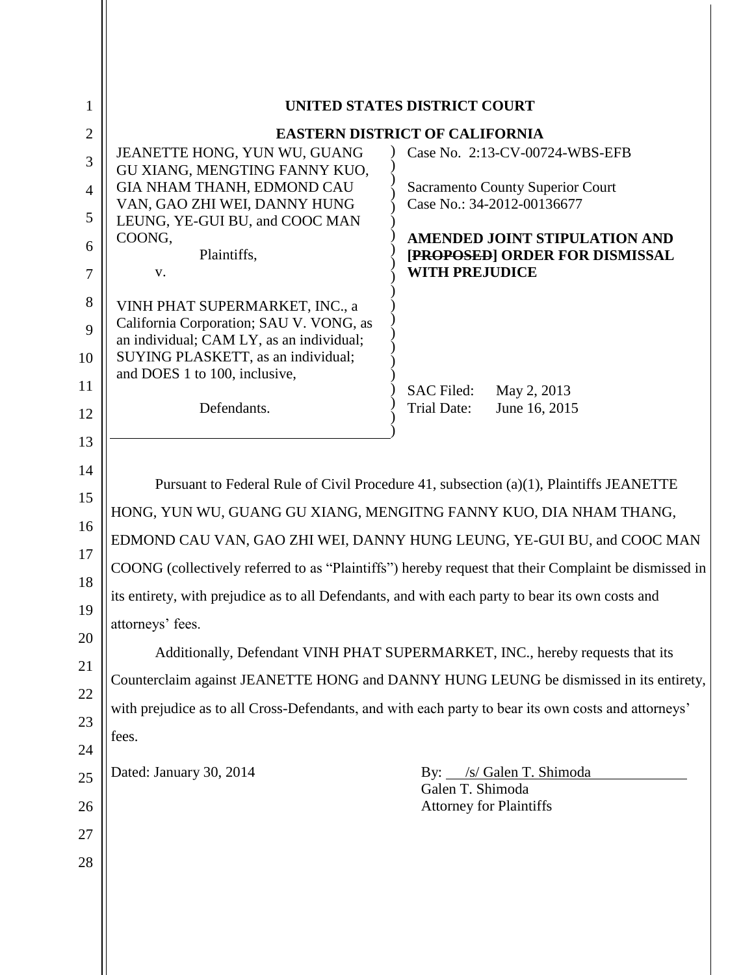| $\mathbf{1}$   | UNITED STATES DISTRICT COURT                                                                                                                                                                                                                                                                                                                            |                                                                        |  |
|----------------|---------------------------------------------------------------------------------------------------------------------------------------------------------------------------------------------------------------------------------------------------------------------------------------------------------------------------------------------------------|------------------------------------------------------------------------|--|
| $\overline{2}$ | <b>EASTERN DISTRICT OF CALIFORNIA</b><br>Case No. 2:13-CV-00724-WBS-EFB                                                                                                                                                                                                                                                                                 |                                                                        |  |
| 3              | JEANETTE HONG, YUN WU, GUANG<br>GU XIANG, MENGTING FANNY KUO,                                                                                                                                                                                                                                                                                           |                                                                        |  |
| $\overline{4}$ | GIA NHAM THANH, EDMOND CAU                                                                                                                                                                                                                                                                                                                              | <b>Sacramento County Superior Court</b><br>Case No.: 34-2012-00136677  |  |
| 5              | VAN, GAO ZHI WEI, DANNY HUNG<br>LEUNG, YE-GUI BU, and COOC MAN                                                                                                                                                                                                                                                                                          |                                                                        |  |
| 6              | COONG,<br>Plaintiffs,                                                                                                                                                                                                                                                                                                                                   | <b>AMENDED JOINT STIPULATION AND</b><br>[PROPOSED] ORDER FOR DISMISSAL |  |
| $\tau$         | V.                                                                                                                                                                                                                                                                                                                                                      | <b>WITH PREJUDICE</b>                                                  |  |
| 8              | VINH PHAT SUPERMARKET, INC., a                                                                                                                                                                                                                                                                                                                          |                                                                        |  |
| 9              | California Corporation; SAU V. VONG, as                                                                                                                                                                                                                                                                                                                 |                                                                        |  |
| 10             | an individual; CAM LY, as an individual;<br>SUYING PLASKETT, as an individual;                                                                                                                                                                                                                                                                          |                                                                        |  |
| 11             | and DOES 1 to 100, inclusive,                                                                                                                                                                                                                                                                                                                           |                                                                        |  |
| 12             | Defendants.                                                                                                                                                                                                                                                                                                                                             | <b>SAC Filed:</b><br>May 2, 2013<br>June 16, 2015<br>Trial Date:       |  |
|                |                                                                                                                                                                                                                                                                                                                                                         |                                                                        |  |
| 13             |                                                                                                                                                                                                                                                                                                                                                         |                                                                        |  |
| 14             | Pursuant to Federal Rule of Civil Procedure 41, subsection $(a)(1)$ , Plaintiffs JEANETTE                                                                                                                                                                                                                                                               |                                                                        |  |
| 15             | HONG, YUN WU, GUANG GU XIANG, MENGITNG FANNY KUO, DIA NHAM THANG,<br>EDMOND CAU VAN, GAO ZHI WEI, DANNY HUNG LEUNG, YE-GUI BU, and COOC MAN<br>COONG (collectively referred to as "Plaintiffs") hereby request that their Complaint be dismissed in<br>its entirety, with prejudice as to all Defendants, and with each party to bear its own costs and |                                                                        |  |
| 16             |                                                                                                                                                                                                                                                                                                                                                         |                                                                        |  |
| 17             |                                                                                                                                                                                                                                                                                                                                                         |                                                                        |  |
| 18             |                                                                                                                                                                                                                                                                                                                                                         |                                                                        |  |
| 19             | attorneys' fees.                                                                                                                                                                                                                                                                                                                                        |                                                                        |  |
| 20             | Additionally, Defendant VINH PHAT SUPERMARKET, INC., hereby requests that its                                                                                                                                                                                                                                                                           |                                                                        |  |
| 21             |                                                                                                                                                                                                                                                                                                                                                         |                                                                        |  |
| 22             | Counterclaim against JEANETTE HONG and DANNY HUNG LEUNG be dismissed in its entirety,                                                                                                                                                                                                                                                                   |                                                                        |  |
| 23             | with prejudice as to all Cross-Defendants, and with each party to bear its own costs and attorneys'                                                                                                                                                                                                                                                     |                                                                        |  |
| 24             | fees.                                                                                                                                                                                                                                                                                                                                                   |                                                                        |  |
| 25             | Dated: January 30, 2014                                                                                                                                                                                                                                                                                                                                 | /s/ Galen T. Shimoda<br>$\mathbf{By:}$                                 |  |
| 26             |                                                                                                                                                                                                                                                                                                                                                         | Galen T. Shimoda<br><b>Attorney for Plaintiffs</b>                     |  |
| 27             |                                                                                                                                                                                                                                                                                                                                                         |                                                                        |  |
| 28             |                                                                                                                                                                                                                                                                                                                                                         |                                                                        |  |
|                |                                                                                                                                                                                                                                                                                                                                                         |                                                                        |  |
|                |                                                                                                                                                                                                                                                                                                                                                         |                                                                        |  |